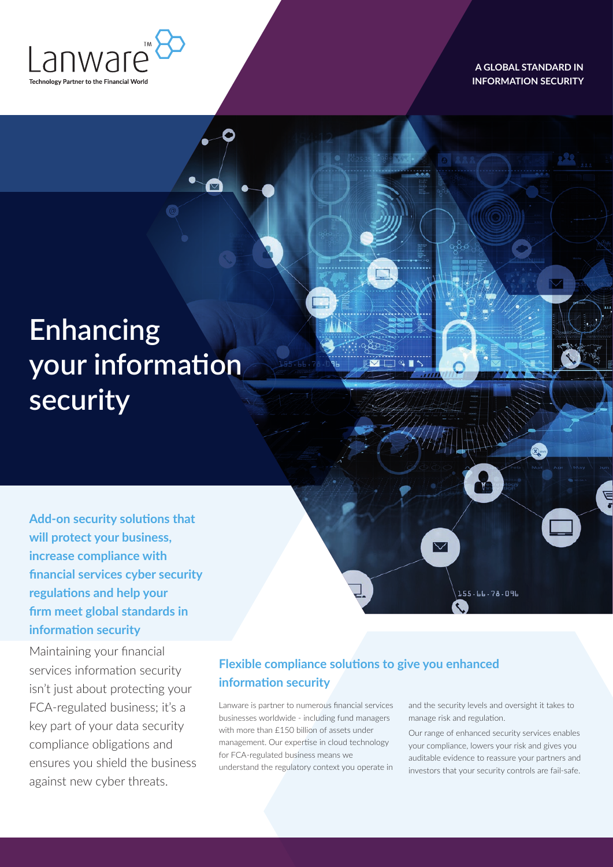

**A GLOBAL STANDARD IN INFORMATION SECURITY** 

# **Enhancing your information security**

**Add-on security solutions that will protect your business, increase compliance with financial services cyber security regulations and help your firm meet global standards in information security**

Maintaining your financial services information security isn't just about protecting your FCA-regulated business; it's a key part of your data security compliance obligations and ensures you shield the business against new cyber threats.

## **Flexible compliance solutions to give you enhanced information security**

Lanware is partner to numerous financial services businesses worldwide - including fund managers with more than £150 billion of assets under management. Our expertise in cloud technology for FCA-regulated business means we understand the regulatory context you operate in and the security levels and oversight it takes to manage risk and regulation.

155.66.78.096

 $\rm \nabla$ 

i<br>L

Our range of enhanced security services enables your compliance, lowers your risk and gives you auditable evidence to reassure your partners and investors that your security controls are fail-safe.